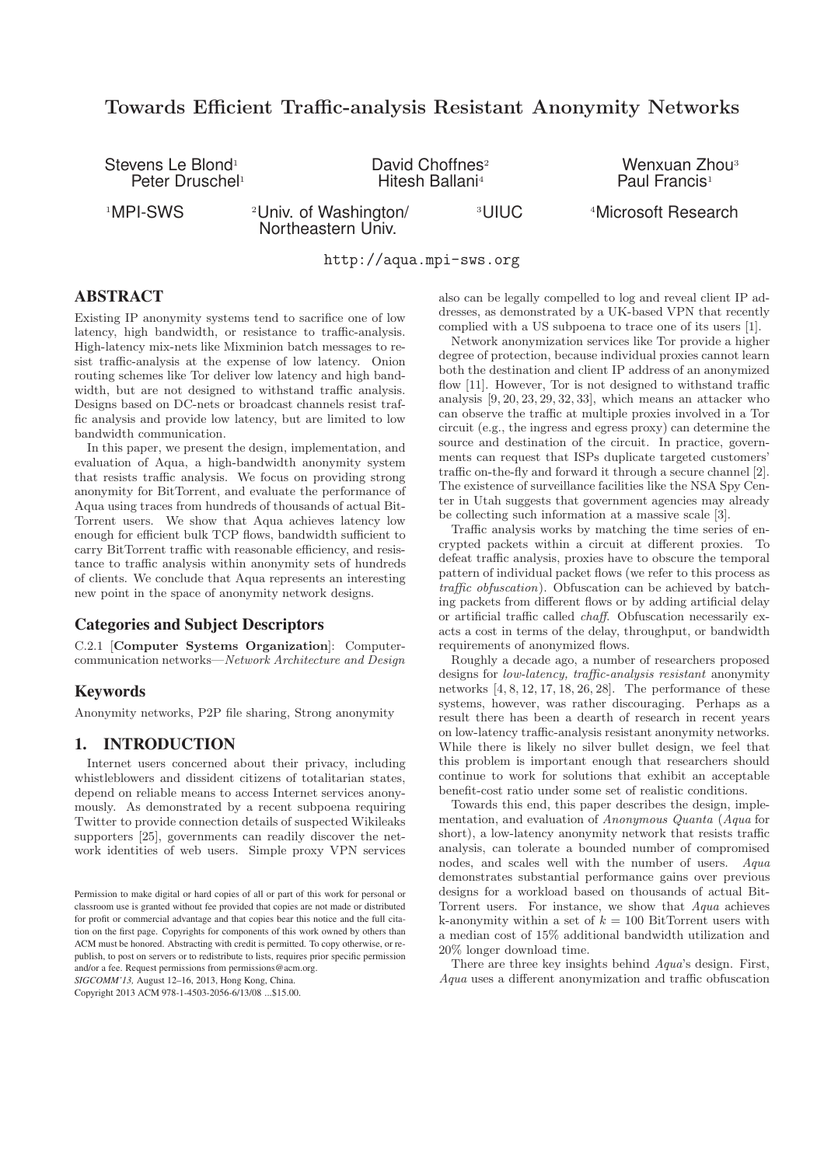# Towards Efficient Traffic-analysis Resistant Anonymity Networks

Stevens Le Blond<sup>1</sup> David Choffnes<sup>2</sup> Wenxuan Zhou<sup>3</sup><br>Peter Druschel<sup>1</sup> Wenchel<sup>1</sup> Hitesh Ballani<sup>4</sup> Paul Francis<sup>1</sup> Peter Druschel<sup>1</sup>

<sup>1</sup>MPI-SWS <sup>2</sup>Univ. of Washington/  $3$ UIUC  $4$ Microsoft Research Northeastern Univ.

http://aqua.mpi-sws.org

# ABSTRACT

Existing IP anonymity systems tend to sacrifice one of low latency, high bandwidth, or resistance to traffic-analysis. High-latency mix-nets like Mixminion batch messages to resist traffic-analysis at the expense of low latency. Onion routing schemes like Tor deliver low latency and high bandwidth, but are not designed to withstand traffic analysis. Designs based on DC-nets or broadcast channels resist traffic analysis and provide low latency, but are limited to low bandwidth communication.

In this paper, we present the design, implementation, and evaluation of Aqua, a high-bandwidth anonymity system that resists traffic analysis. We focus on providing strong anonymity for BitTorrent, and evaluate the performance of Aqua using traces from hundreds of thousands of actual Bit-Torrent users. We show that Aqua achieves latency low enough for efficient bulk TCP flows, bandwidth sufficient to carry BitTorrent traffic with reasonable efficiency, and resistance to traffic analysis within anonymity sets of hundreds of clients. We conclude that Aqua represents an interesting new point in the space of anonymity network designs.

#### Categories and Subject Descriptors

C.2.1 [Computer Systems Organization]: Computercommunication networks—Network Architecture and Design

### Keywords

Anonymity networks, P2P file sharing, Strong anonymity

### 1. INTRODUCTION

Internet users concerned about their privacy, including whistleblowers and dissident citizens of totalitarian states, depend on reliable means to access Internet services anonymously. As demonstrated by a recent subpoena requiring Twitter to provide connection details of suspected Wikileaks supporters [25], governments can readily discover the network identities of web users. Simple proxy VPN services

*SIGCOMM'13,* August 12–16, 2013, Hong Kong, China.

Copyright 2013 ACM 978-1-4503-2056-6/13/08 ...\$15.00.

also can be legally compelled to log and reveal client IP addresses, as demonstrated by a UK-based VPN that recently complied with a US subpoena to trace one of its users [1].

Network anonymization services like Tor provide a higher degree of protection, because individual proxies cannot learn both the destination and client IP address of an anonymized flow [11]. However, Tor is not designed to withstand traffic analysis [9, 20, 23, 29, 32, 33], which means an attacker who can observe the traffic at multiple proxies involved in a Tor circuit (e.g., the ingress and egress proxy) can determine the source and destination of the circuit. In practice, governments can request that ISPs duplicate targeted customers' traffic on-the-fly and forward it through a secure channel [2]. The existence of surveillance facilities like the NSA Spy Center in Utah suggests that government agencies may already be collecting such information at a massive scale [3].

Traffic analysis works by matching the time series of encrypted packets within a circuit at different proxies. To defeat traffic analysis, proxies have to obscure the temporal pattern of individual packet flows (we refer to this process as traffic obfuscation). Obfuscation can be achieved by batching packets from different flows or by adding artificial delay or artificial traffic called chaff. Obfuscation necessarily exacts a cost in terms of the delay, throughput, or bandwidth requirements of anonymized flows.

Roughly a decade ago, a number of researchers proposed designs for low-latency, traffic-analysis resistant anonymity networks  $[4, 8, 12, 17, 18, 26, 28]$ . The performance of these systems, however, was rather discouraging. Perhaps as a result there has been a dearth of research in recent years on low-latency traffic-analysis resistant anonymity networks. While there is likely no silver bullet design, we feel that this problem is important enough that researchers should continue to work for solutions that exhibit an acceptable benefit-cost ratio under some set of realistic conditions.

Towards this end, this paper describes the design, implementation, and evaluation of Anonymous Quanta (Aqua for short), a low-latency anonymity network that resists traffic analysis, can tolerate a bounded number of compromised nodes, and scales well with the number of users. Aqua demonstrates substantial performance gains over previous designs for a workload based on thousands of actual Bit-Torrent users. For instance, we show that Aqua achieves k-anonymity within a set of  $k = 100$  BitTorrent users with a median cost of 15% additional bandwidth utilization and 20% longer download time.

There are three key insights behind Aqua's design. First, Aqua uses a different anonymization and traffic obfuscation

Permission to make digital or hard copies of all or part of this work for personal or classroom use is granted without fee provided that copies are not made or distributed for profit or commercial advantage and that copies bear this notice and the full citation on the first page. Copyrights for components of this work owned by others than ACM must be honored. Abstracting with credit is permitted. To copy otherwise, or republish, to post on servers or to redistribute to lists, requires prior specific permission and/or a fee. Request permissions from permissions@acm.org.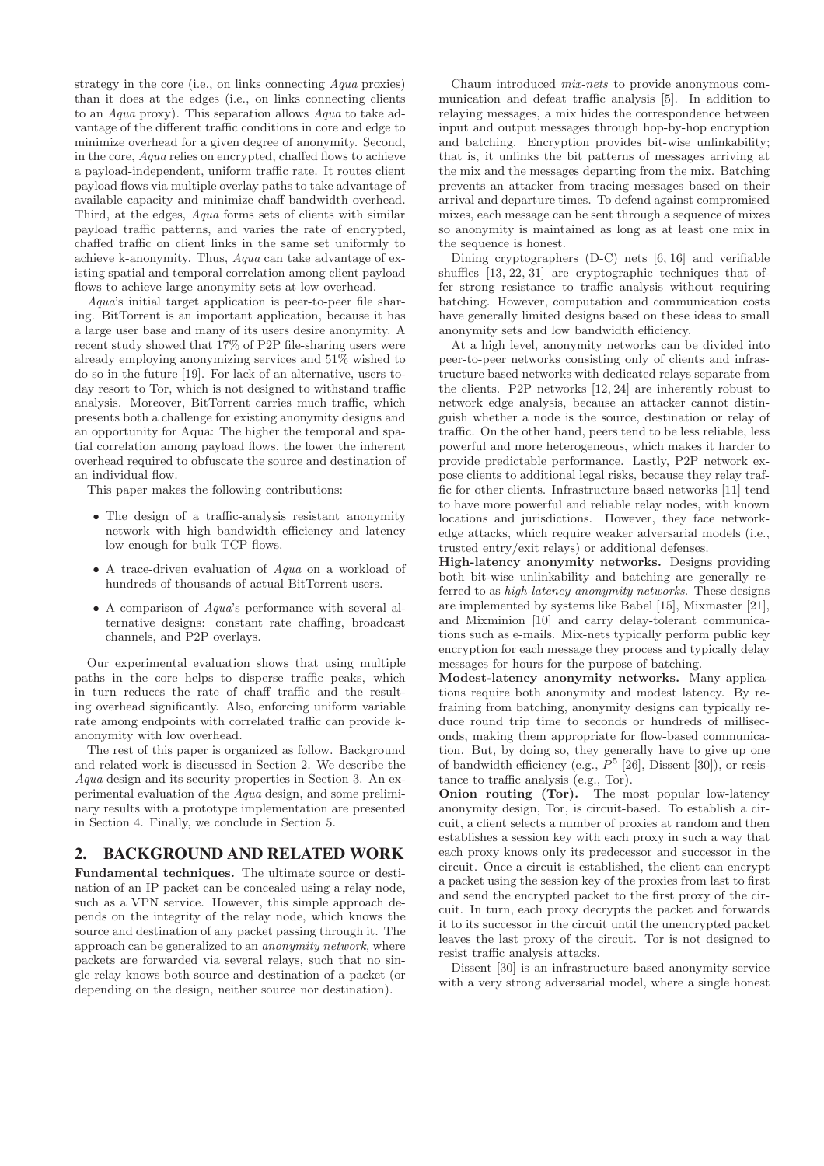strategy in the core (i.e., on links connecting Aqua proxies) than it does at the edges (i.e., on links connecting clients to an Aqua proxy). This separation allows Aqua to take advantage of the different traffic conditions in core and edge to minimize overhead for a given degree of anonymity. Second, in the core, Aqua relies on encrypted, chaffed flows to achieve a payload-independent, uniform traffic rate. It routes client payload flows via multiple overlay paths to take advantage of available capacity and minimize chaff bandwidth overhead. Third, at the edges, Aqua forms sets of clients with similar payload traffic patterns, and varies the rate of encrypted, chaffed traffic on client links in the same set uniformly to achieve k-anonymity. Thus, Aqua can take advantage of existing spatial and temporal correlation among client payload flows to achieve large anonymity sets at low overhead.

Aqua's initial target application is peer-to-peer file sharing. BitTorrent is an important application, because it has a large user base and many of its users desire anonymity. A recent study showed that 17% of P2P file-sharing users were already employing anonymizing services and 51% wished to do so in the future [19]. For lack of an alternative, users today resort to Tor, which is not designed to withstand traffic analysis. Moreover, BitTorrent carries much traffic, which presents both a challenge for existing anonymity designs and an opportunity for Aqua: The higher the temporal and spatial correlation among payload flows, the lower the inherent overhead required to obfuscate the source and destination of an individual flow.

This paper makes the following contributions:

- The design of a traffic-analysis resistant anonymity network with high bandwidth efficiency and latency low enough for bulk TCP flows.
- A trace-driven evaluation of Aqua on a workload of hundreds of thousands of actual BitTorrent users.
- A comparison of Aqua's performance with several alternative designs: constant rate chaffing, broadcast channels, and P2P overlays.

Our experimental evaluation shows that using multiple paths in the core helps to disperse traffic peaks, which in turn reduces the rate of chaff traffic and the resulting overhead significantly. Also, enforcing uniform variable rate among endpoints with correlated traffic can provide kanonymity with low overhead.

The rest of this paper is organized as follow. Background and related work is discussed in Section 2. We describe the Aqua design and its security properties in Section 3. An experimental evaluation of the Aqua design, and some preliminary results with a prototype implementation are presented in Section 4. Finally, we conclude in Section 5.

### 2. BACKGROUND AND RELATED WORK

Fundamental techniques. The ultimate source or destination of an IP packet can be concealed using a relay node, such as a VPN service. However, this simple approach depends on the integrity of the relay node, which knows the source and destination of any packet passing through it. The approach can be generalized to an anonymity network, where packets are forwarded via several relays, such that no single relay knows both source and destination of a packet (or depending on the design, neither source nor destination).

Chaum introduced mix-nets to provide anonymous communication and defeat traffic analysis [5]. In addition to relaying messages, a mix hides the correspondence between input and output messages through hop-by-hop encryption and batching. Encryption provides bit-wise unlinkability; that is, it unlinks the bit patterns of messages arriving at the mix and the messages departing from the mix. Batching prevents an attacker from tracing messages based on their arrival and departure times. To defend against compromised mixes, each message can be sent through a sequence of mixes so anonymity is maintained as long as at least one mix in the sequence is honest.

Dining cryptographers (D-C) nets [6, 16] and verifiable shuffles [13, 22, 31] are cryptographic techniques that offer strong resistance to traffic analysis without requiring batching. However, computation and communication costs have generally limited designs based on these ideas to small anonymity sets and low bandwidth efficiency.

At a high level, anonymity networks can be divided into peer-to-peer networks consisting only of clients and infrastructure based networks with dedicated relays separate from the clients. P2P networks [12, 24] are inherently robust to network edge analysis, because an attacker cannot distinguish whether a node is the source, destination or relay of traffic. On the other hand, peers tend to be less reliable, less powerful and more heterogeneous, which makes it harder to provide predictable performance. Lastly, P2P network expose clients to additional legal risks, because they relay traffic for other clients. Infrastructure based networks [11] tend to have more powerful and reliable relay nodes, with known locations and jurisdictions. However, they face networkedge attacks, which require weaker adversarial models (i.e., trusted entry/exit relays) or additional defenses.

High-latency anonymity networks. Designs providing both bit-wise unlinkability and batching are generally referred to as *high-latency anonymity networks*. These designs are implemented by systems like Babel [15], Mixmaster [21], and Mixminion [10] and carry delay-tolerant communications such as e-mails. Mix-nets typically perform public key encryption for each message they process and typically delay messages for hours for the purpose of batching.

Modest-latency anonymity networks. Many applications require both anonymity and modest latency. By refraining from batching, anonymity designs can typically reduce round trip time to seconds or hundreds of milliseconds, making them appropriate for flow-based communication. But, by doing so, they generally have to give up one of bandwidth efficiency (e.g.,  $P^5$  [26], Dissent [30]), or resistance to traffic analysis (e.g., Tor).

Onion routing (Tor). The most popular low-latency anonymity design, Tor, is circuit-based. To establish a circuit, a client selects a number of proxies at random and then establishes a session key with each proxy in such a way that each proxy knows only its predecessor and successor in the circuit. Once a circuit is established, the client can encrypt a packet using the session key of the proxies from last to first and send the encrypted packet to the first proxy of the circuit. In turn, each proxy decrypts the packet and forwards it to its successor in the circuit until the unencrypted packet leaves the last proxy of the circuit. Tor is not designed to resist traffic analysis attacks.

Dissent [30] is an infrastructure based anonymity service with a very strong adversarial model, where a single honest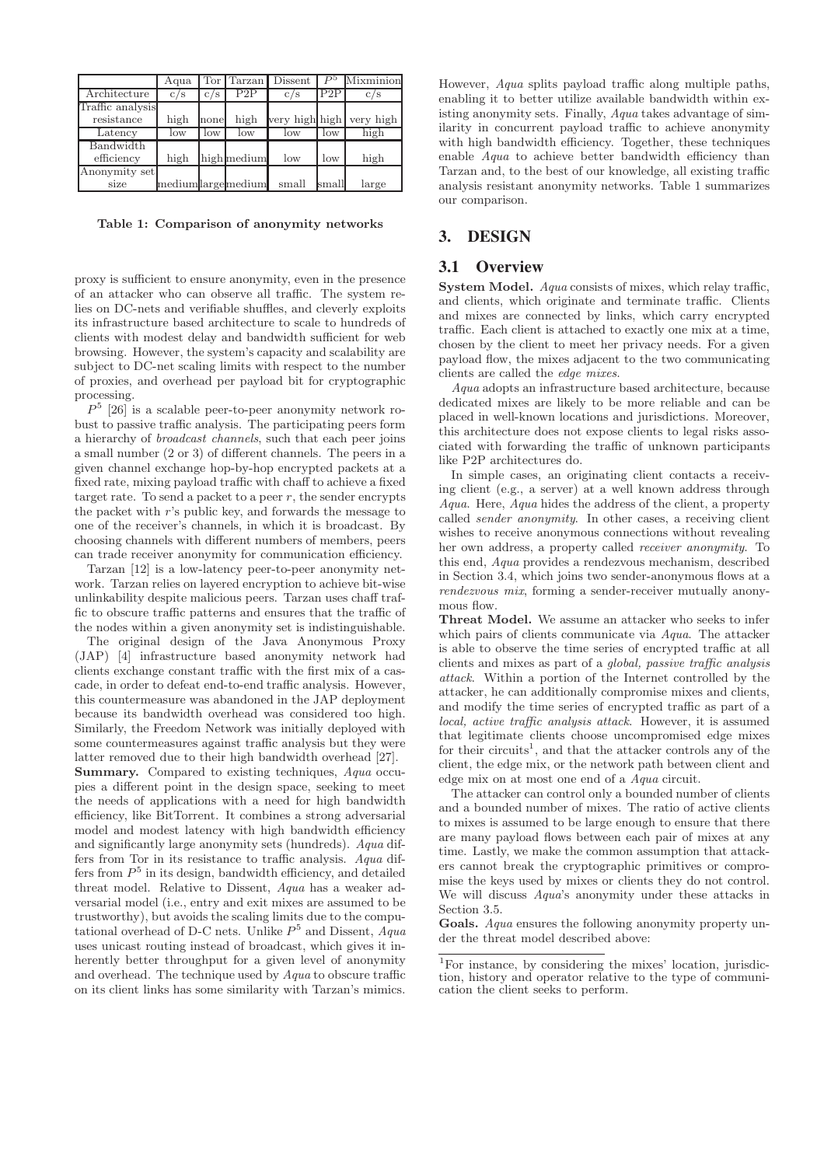|                  | Aqua | Tor  | Tarzan            | Dissent        | P <sup>5</sup> | Mixminion |
|------------------|------|------|-------------------|----------------|----------------|-----------|
| Architecture     | c/s  | c/s  | P2P               | C/S            | P2P            |           |
| Traffic analysis |      |      |                   |                |                |           |
| resistance       | high | none | high              | very high high |                | very high |
| Latency          | low  | low  | low               | low            | low            | high      |
| Bandwidth        |      |      |                   |                |                |           |
| efficiency       | high |      | high medium       | low            | low            | high      |
| Anonymity set    |      |      |                   |                |                |           |
| size             |      |      | mediumlargemedium | small          | small          | large     |

Table 1: Comparison of anonymity networks

proxy is sufficient to ensure anonymity, even in the presence of an attacker who can observe all traffic. The system relies on DC-nets and verifiable shuffles, and cleverly exploits its infrastructure based architecture to scale to hundreds of clients with modest delay and bandwidth sufficient for web browsing. However, the system's capacity and scalability are subject to DC-net scaling limits with respect to the number of proxies, and overhead per payload bit for cryptographic processing.

 $P<sup>5</sup>$  [26] is a scalable peer-to-peer anonymity network robust to passive traffic analysis. The participating peers form a hierarchy of broadcast channels, such that each peer joins a small number (2 or 3) of different channels. The peers in a given channel exchange hop-by-hop encrypted packets at a fixed rate, mixing payload traffic with chaff to achieve a fixed target rate. To send a packet to a peer  $r$ , the sender encrypts the packet with r's public key, and forwards the message to one of the receiver's channels, in which it is broadcast. By choosing channels with different numbers of members, peers can trade receiver anonymity for communication efficiency.

Tarzan [12] is a low-latency peer-to-peer anonymity network. Tarzan relies on layered encryption to achieve bit-wise unlinkability despite malicious peers. Tarzan uses chaff traffic to obscure traffic patterns and ensures that the traffic of the nodes within a given anonymity set is indistinguishable.

The original design of the Java Anonymous Proxy (JAP) [4] infrastructure based anonymity network had clients exchange constant traffic with the first mix of a cascade, in order to defeat end-to-end traffic analysis. However, this countermeasure was abandoned in the JAP deployment because its bandwidth overhead was considered too high. Similarly, the Freedom Network was initially deployed with some countermeasures against traffic analysis but they were latter removed due to their high bandwidth overhead [27].

Summary. Compared to existing techniques, Aqua occupies a different point in the design space, seeking to meet the needs of applications with a need for high bandwidth efficiency, like BitTorrent. It combines a strong adversarial model and modest latency with high bandwidth efficiency and significantly large anonymity sets (hundreds). Aqua differs from Tor in its resistance to traffic analysis. Aqua differs from  $P<sup>5</sup>$  in its design, bandwidth efficiency, and detailed threat model. Relative to Dissent, Aqua has a weaker adversarial model (i.e., entry and exit mixes are assumed to be trustworthy), but avoids the scaling limits due to the computational overhead of D-C nets. Unlike  $P<sup>5</sup>$  and Dissent,  $\ddot{A}$ qua uses unicast routing instead of broadcast, which gives it inherently better throughput for a given level of anonymity and overhead. The technique used by Aqua to obscure traffic on its client links has some similarity with Tarzan's mimics.

However, Aqua splits payload traffic along multiple paths, enabling it to better utilize available bandwidth within existing anonymity sets. Finally, Aqua takes advantage of similarity in concurrent payload traffic to achieve anonymity with high bandwidth efficiency. Together, these techniques enable Aqua to achieve better bandwidth efficiency than Tarzan and, to the best of our knowledge, all existing traffic analysis resistant anonymity networks. Table 1 summarizes our comparison.

## 3. DESIGN

### 3.1 Overview

System Model. Aqua consists of mixes, which relay traffic, and clients, which originate and terminate traffic. Clients and mixes are connected by links, which carry encrypted traffic. Each client is attached to exactly one mix at a time, chosen by the client to meet her privacy needs. For a given payload flow, the mixes adjacent to the two communicating clients are called the edge mixes.

Aqua adopts an infrastructure based architecture, because dedicated mixes are likely to be more reliable and can be placed in well-known locations and jurisdictions. Moreover, this architecture does not expose clients to legal risks associated with forwarding the traffic of unknown participants like P2P architectures do.

In simple cases, an originating client contacts a receiving client (e.g., a server) at a well known address through Aqua. Here, Aqua hides the address of the client, a property called sender anonymity. In other cases, a receiving client wishes to receive anonymous connections without revealing her own address, a property called receiver anonymity. To this end, Aqua provides a rendezvous mechanism, described in Section 3.4, which joins two sender-anonymous flows at a rendezvous mix, forming a sender-receiver mutually anonymous flow.

Threat Model. We assume an attacker who seeks to infer which pairs of clients communicate via Aqua. The attacker is able to observe the time series of encrypted traffic at all clients and mixes as part of a global, passive traffic analysis attack. Within a portion of the Internet controlled by the attacker, he can additionally compromise mixes and clients, and modify the time series of encrypted traffic as part of a local, active traffic analysis attack. However, it is assumed that legitimate clients choose uncompromised edge mixes for their circuits<sup>1</sup>, and that the attacker controls any of the client, the edge mix, or the network path between client and edge mix on at most one end of a Aqua circuit.

The attacker can control only a bounded number of clients and a bounded number of mixes. The ratio of active clients to mixes is assumed to be large enough to ensure that there are many payload flows between each pair of mixes at any time. Lastly, we make the common assumption that attackers cannot break the cryptographic primitives or compromise the keys used by mixes or clients they do not control. We will discuss  $Aqua$ 's anonymity under these attacks in Section 3.5.

Goals. Aqua ensures the following anonymity property under the threat model described above:

<sup>&</sup>lt;sup>1</sup>For instance, by considering the mixes' location, jurisdiction, history and operator relative to the type of communication the client seeks to perform.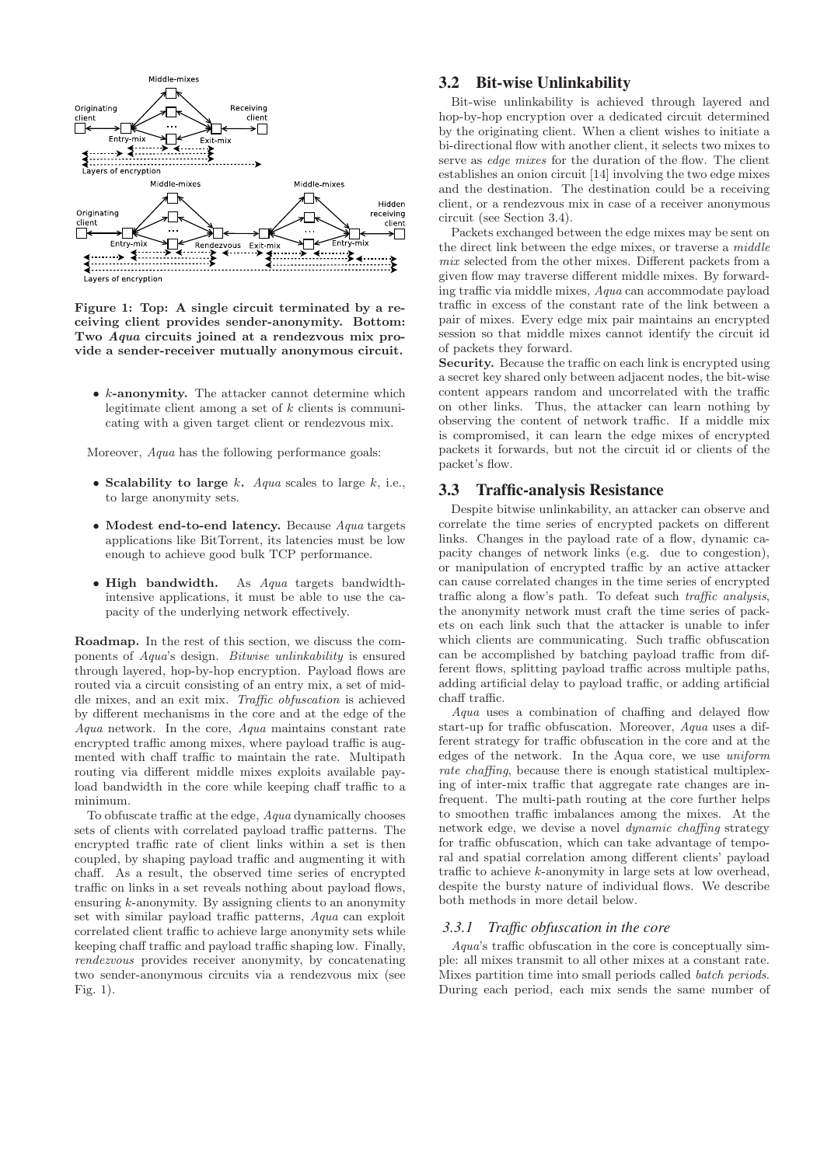

Figure 1: Top: A single circuit terminated by a receiving client provides sender-anonymity. Bottom: Two Aqua circuits joined at a rendezvous mix provide a sender-receiver mutually anonymous circuit.

 $\bullet$  k-anonymity. The attacker cannot determine which legitimate client among a set of  $k$  clients is communicating with a given target client or rendezvous mix.

Moreover, Aqua has the following performance goals:

- Scalability to large  $k$ . Aqua scales to large  $k$ , i.e., to large anonymity sets.
- Modest end-to-end latency. Because Aqua targets applications like BitTorrent, its latencies must be low enough to achieve good bulk TCP performance.
- High bandwidth. As Aqua targets bandwidthintensive applications, it must be able to use the capacity of the underlying network effectively.

Roadmap. In the rest of this section, we discuss the components of Aqua's design. Bitwise unlinkability is ensured through layered, hop-by-hop encryption. Payload flows are routed via a circuit consisting of an entry mix, a set of middle mixes, and an exit mix. Traffic obfuscation is achieved by different mechanisms in the core and at the edge of the Aqua network. In the core, Aqua maintains constant rate encrypted traffic among mixes, where payload traffic is augmented with chaff traffic to maintain the rate. Multipath routing via different middle mixes exploits available payload bandwidth in the core while keeping chaff traffic to a minimum.

To obfuscate traffic at the edge, Aqua dynamically chooses sets of clients with correlated payload traffic patterns. The encrypted traffic rate of client links within a set is then coupled, by shaping payload traffic and augmenting it with chaff. As a result, the observed time series of encrypted traffic on links in a set reveals nothing about payload flows, ensuring  $k$ -anonymity. By assigning clients to an anonymity set with similar payload traffic patterns, Aqua can exploit correlated client traffic to achieve large anonymity sets while keeping chaff traffic and payload traffic shaping low. Finally, rendezvous provides receiver anonymity, by concatenating two sender-anonymous circuits via a rendezvous mix (see Fig. 1).

### 3.2 Bit-wise Unlinkability

Bit-wise unlinkability is achieved through layered and hop-by-hop encryption over a dedicated circuit determined by the originating client. When a client wishes to initiate a bi-directional flow with another client, it selects two mixes to serve as *edge mixes* for the duration of the flow. The client establishes an onion circuit [14] involving the two edge mixes and the destination. The destination could be a receiving client, or a rendezvous mix in case of a receiver anonymous circuit (see Section 3.4).

Packets exchanged between the edge mixes may be sent on the direct link between the edge mixes, or traverse a middle mix selected from the other mixes. Different packets from a given flow may traverse different middle mixes. By forwarding traffic via middle mixes, Aqua can accommodate payload traffic in excess of the constant rate of the link between a pair of mixes. Every edge mix pair maintains an encrypted session so that middle mixes cannot identify the circuit id of packets they forward.

Security. Because the traffic on each link is encrypted using a secret key shared only between adjacent nodes, the bit-wise content appears random and uncorrelated with the traffic on other links. Thus, the attacker can learn nothing by observing the content of network traffic. If a middle mix is compromised, it can learn the edge mixes of encrypted packets it forwards, but not the circuit id or clients of the packet's flow.

#### 3.3 Traffic-analysis Resistance

Despite bitwise unlinkability, an attacker can observe and correlate the time series of encrypted packets on different links. Changes in the payload rate of a flow, dynamic capacity changes of network links (e.g. due to congestion), or manipulation of encrypted traffic by an active attacker can cause correlated changes in the time series of encrypted traffic along a flow's path. To defeat such traffic analysis, the anonymity network must craft the time series of packets on each link such that the attacker is unable to infer which clients are communicating. Such traffic obfuscation can be accomplished by batching payload traffic from different flows, splitting payload traffic across multiple paths, adding artificial delay to payload traffic, or adding artificial chaff traffic.

Aqua uses a combination of chaffing and delayed flow start-up for traffic obfuscation. Moreover, Aqua uses a different strategy for traffic obfuscation in the core and at the edges of the network. In the Aqua core, we use uniform rate chaffing, because there is enough statistical multiplexing of inter-mix traffic that aggregate rate changes are infrequent. The multi-path routing at the core further helps to smoothen traffic imbalances among the mixes. At the network edge, we devise a novel dynamic chaffing strategy for traffic obfuscation, which can take advantage of temporal and spatial correlation among different clients' payload traffic to achieve k-anonymity in large sets at low overhead, despite the bursty nature of individual flows. We describe both methods in more detail below.

#### *3.3.1 Traffic obfuscation in the core*

Aqua's traffic obfuscation in the core is conceptually simple: all mixes transmit to all other mixes at a constant rate. Mixes partition time into small periods called batch periods. During each period, each mix sends the same number of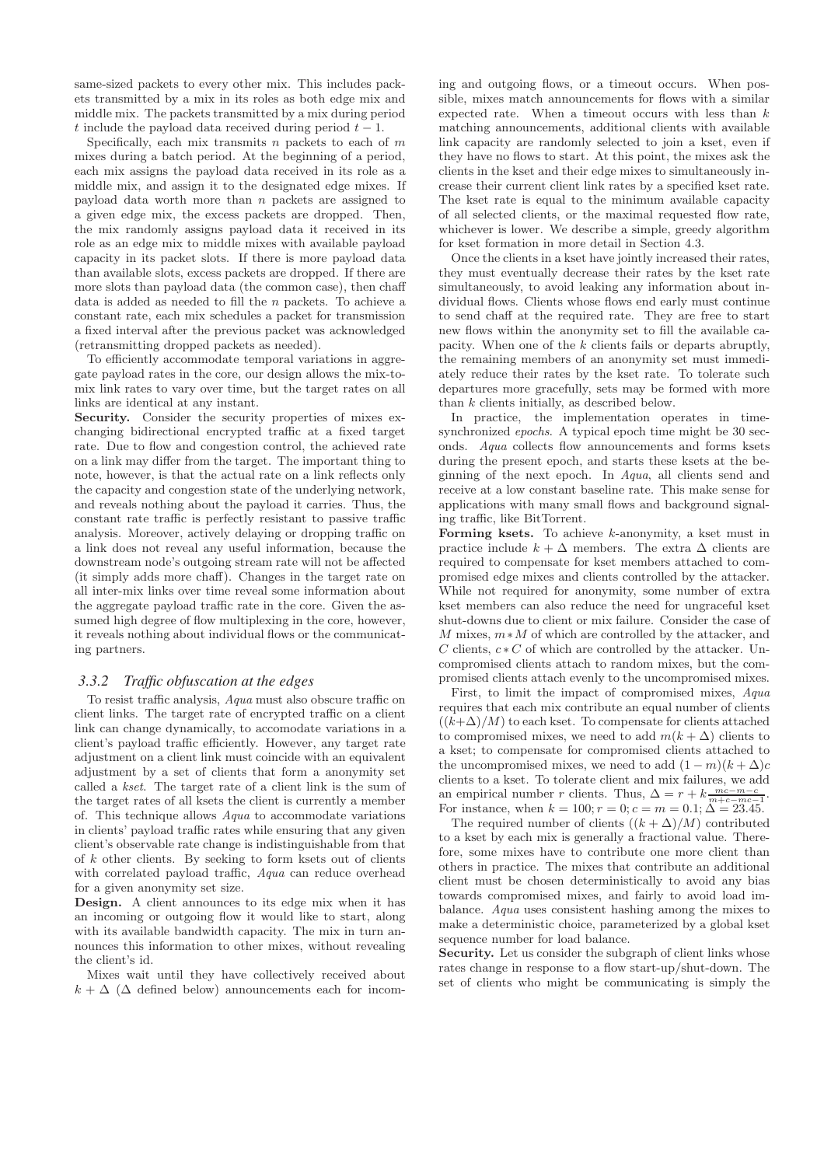same-sized packets to every other mix. This includes packets transmitted by a mix in its roles as both edge mix and middle mix. The packets transmitted by a mix during period t include the payload data received during period  $t - 1$ .

Specifically, each mix transmits  $n$  packets to each of  $m$ mixes during a batch period. At the beginning of a period, each mix assigns the payload data received in its role as a middle mix, and assign it to the designated edge mixes. If payload data worth more than n packets are assigned to a given edge mix, the excess packets are dropped. Then, the mix randomly assigns payload data it received in its role as an edge mix to middle mixes with available payload capacity in its packet slots. If there is more payload data than available slots, excess packets are dropped. If there are more slots than payload data (the common case), then chaff data is added as needed to fill the n packets. To achieve a constant rate, each mix schedules a packet for transmission a fixed interval after the previous packet was acknowledged (retransmitting dropped packets as needed).

To efficiently accommodate temporal variations in aggregate payload rates in the core, our design allows the mix-tomix link rates to vary over time, but the target rates on all links are identical at any instant.

Security. Consider the security properties of mixes exchanging bidirectional encrypted traffic at a fixed target rate. Due to flow and congestion control, the achieved rate on a link may differ from the target. The important thing to note, however, is that the actual rate on a link reflects only the capacity and congestion state of the underlying network, and reveals nothing about the payload it carries. Thus, the constant rate traffic is perfectly resistant to passive traffic analysis. Moreover, actively delaying or dropping traffic on a link does not reveal any useful information, because the downstream node's outgoing stream rate will not be affected (it simply adds more chaff). Changes in the target rate on all inter-mix links over time reveal some information about the aggregate payload traffic rate in the core. Given the assumed high degree of flow multiplexing in the core, however, it reveals nothing about individual flows or the communicating partners.

#### *3.3.2 Traffic obfuscation at the edges*

To resist traffic analysis, Aqua must also obscure traffic on client links. The target rate of encrypted traffic on a client link can change dynamically, to accomodate variations in a client's payload traffic efficiently. However, any target rate adjustment on a client link must coincide with an equivalent adjustment by a set of clients that form a anonymity set called a kset. The target rate of a client link is the sum of the target rates of all ksets the client is currently a member of. This technique allows Aqua to accommodate variations in clients' payload traffic rates while ensuring that any given client's observable rate change is indistinguishable from that of k other clients. By seeking to form ksets out of clients with correlated payload traffic, Aqua can reduce overhead for a given anonymity set size.

Design. A client announces to its edge mix when it has an incoming or outgoing flow it would like to start, along with its available bandwidth capacity. The mix in turn announces this information to other mixes, without revealing the client's id.

Mixes wait until they have collectively received about  $k + \Delta$  ( $\Delta$  defined below) announcements each for incom-

ing and outgoing flows, or a timeout occurs. When possible, mixes match announcements for flows with a similar expected rate. When a timeout occurs with less than  $k$ matching announcements, additional clients with available link capacity are randomly selected to join a kset, even if they have no flows to start. At this point, the mixes ask the clients in the kset and their edge mixes to simultaneously increase their current client link rates by a specified kset rate. The kset rate is equal to the minimum available capacity of all selected clients, or the maximal requested flow rate, whichever is lower. We describe a simple, greedy algorithm for kset formation in more detail in Section 4.3.

Once the clients in a kset have jointly increased their rates, they must eventually decrease their rates by the kset rate simultaneously, to avoid leaking any information about individual flows. Clients whose flows end early must continue to send chaff at the required rate. They are free to start new flows within the anonymity set to fill the available capacity. When one of the  $k$  clients fails or departs abruptly, the remaining members of an anonymity set must immediately reduce their rates by the kset rate. To tolerate such departures more gracefully, sets may be formed with more than k clients initially, as described below.

In practice, the implementation operates in timesynchronized epochs. A typical epoch time might be 30 seconds. Aqua collects flow announcements and forms ksets during the present epoch, and starts these ksets at the beginning of the next epoch. In Aqua, all clients send and receive at a low constant baseline rate. This make sense for applications with many small flows and background signaling traffic, like BitTorrent.

Forming ksets. To achieve k-anonymity, a kset must in practice include  $k + \Delta$  members. The extra  $\Delta$  clients are required to compensate for kset members attached to compromised edge mixes and clients controlled by the attacker. While not required for anonymity, some number of extra kset members can also reduce the need for ungraceful kset shut-downs due to client or mix failure. Consider the case of M mixes,  $m * M$  of which are controlled by the attacker, and C clients,  $c * C$  of which are controlled by the attacker. Uncompromised clients attach to random mixes, but the compromised clients attach evenly to the uncompromised mixes.

First, to limit the impact of compromised mixes, Aqua requires that each mix contribute an equal number of clients  $((k+\Delta)/M)$  to each kset. To compensate for clients attached to compromised mixes, we need to add  $m(k + \Delta)$  clients to a kset; to compensate for compromised clients attached to the uncompromised mixes, we need to add  $(1 - m)(k + \Delta)c$ clients to a kset. To tolerate client and mix failures, we add an empirical number r clients. Thus,  $\Delta = r + k \frac{mc - mc - c}{m + c - mc - 1}$ . For instance, when  $k = 100; r = 0; c = m = 0.1; \Delta = 23.45.$ 

The required number of clients  $((k + \Delta)/M)$  contributed to a kset by each mix is generally a fractional value. Therefore, some mixes have to contribute one more client than others in practice. The mixes that contribute an additional client must be chosen deterministically to avoid any bias towards compromised mixes, and fairly to avoid load imbalance. Aqua uses consistent hashing among the mixes to make a deterministic choice, parameterized by a global kset sequence number for load balance.

Security. Let us consider the subgraph of client links whose rates change in response to a flow start-up/shut-down. The set of clients who might be communicating is simply the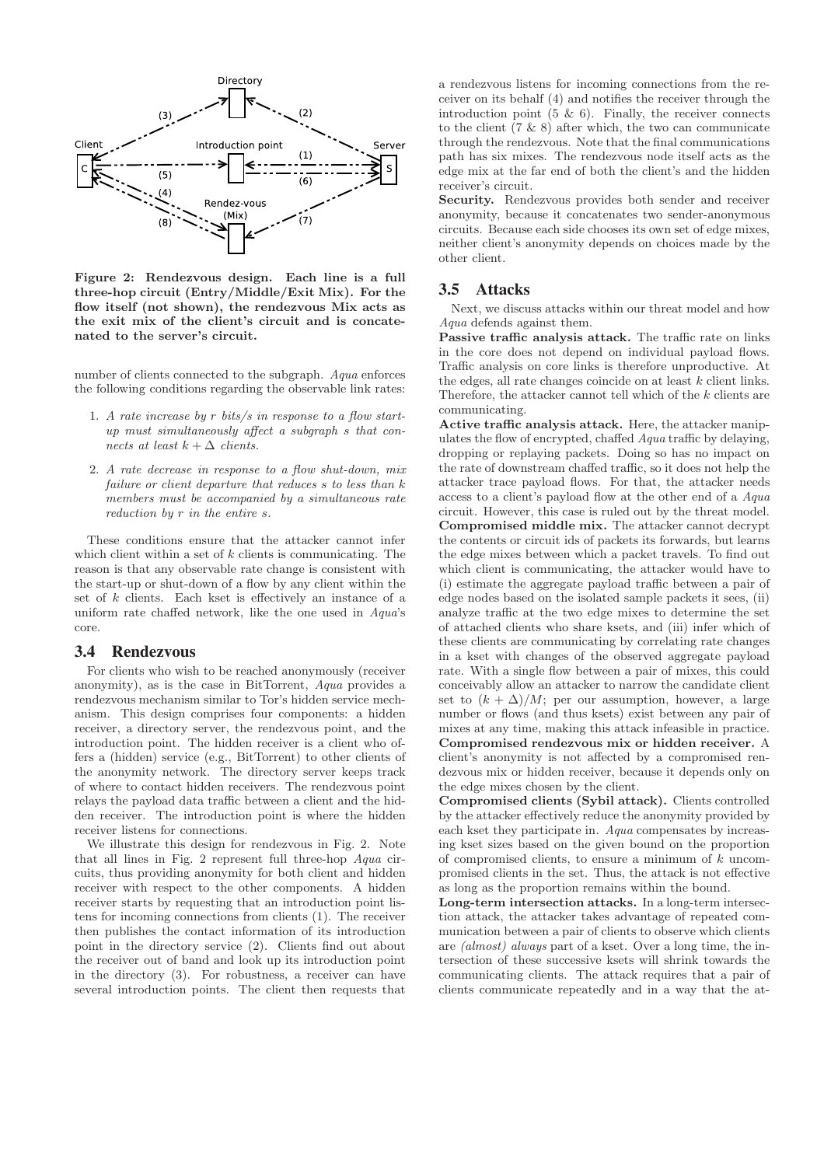

Figure 2: Rendezvous design. Each line is a full three-hop circuit (Entry/Middle/Exit Mix). For the flow itself (not shown), the rendezvous Mix acts as the exit mix of the client's circuit and is concatenated to the server's circuit.

number of clients connected to the subgraph. Aqua enforces the following conditions regarding the observable link rates:

- 1. A rate increase by r bits/s in response to a flow startup must simultaneously affect a subgraph s that connects at least  $k + \Delta$  clients.
- 2. A rate decrease in response to a flow shut-down, mix failure or client departure that reduces s to less than k members must be accompanied by a simultaneous rate reduction by r in the entire s.

These conditions ensure that the attacker cannot infer which client within a set of  $k$  clients is communicating. The reason is that any observable rate change is consistent with the start-up or shut-down of a flow by any client within the set of k clients. Each kset is effectively an instance of a uniform rate chaffed network, like the one used in Aqua's core.

### 3.4 Rendezvous

For clients who wish to be reached anonymously (receiver anonymity), as is the case in BitTorrent, Aqua provides a rendezvous mechanism similar to Tor's hidden service mechanism. This design comprises four components: a hidden receiver, a directory server, the rendezvous point, and the introduction point. The hidden receiver is a client who offers a (hidden) service (e.g., BitTorrent) to other clients of the anonymity network. The directory server keeps track of where to contact hidden receivers. The rendezvous point relays the payload data traffic between a client and the hidden receiver. The introduction point is where the hidden receiver listens for connections.

We illustrate this design for rendezvous in Fig. 2. Note that all lines in Fig. 2 represent full three-hop Aqua circuits, thus providing anonymity for both client and hidden receiver with respect to the other components. A hidden receiver starts by requesting that an introduction point listens for incoming connections from clients (1). The receiver then publishes the contact information of its introduction point in the directory service (2). Clients find out about the receiver out of band and look up its introduction point in the directory (3). For robustness, a receiver can have several introduction points. The client then requests that a rendezvous listens for incoming connections from the receiver on its behalf (4) and notifies the receiver through the introduction point  $(5 \& 6)$ . Finally, the receiver connects to the client  $(7 \& 8)$  after which, the two can communicate through the rendezvous. Note that the final communications path has six mixes. The rendezvous node itself acts as the edge mix at the far end of both the client's and the hidden receiver's circuit.

Security. Rendezvous provides both sender and receiver anonymity, because it concatenates two sender-anonymous circuits. Because each side chooses its own set of edge mixes, neither client's anonymity depends on choices made by the other client.

#### 3.5 Attacks

Next, we discuss attacks within our threat model and how Aqua defends against them.

Passive traffic analysis attack. The traffic rate on links in the core does not depend on individual payload flows. Traffic analysis on core links is therefore unproductive. At the edges, all rate changes coincide on at least k client links. Therefore, the attacker cannot tell which of the  $k$  clients are communicating.

Active traffic analysis attack. Here, the attacker manipulates the flow of encrypted, chaffed Aqua traffic by delaying, dropping or replaying packets. Doing so has no impact on the rate of downstream chaffed traffic, so it does not help the attacker trace payload flows. For that, the attacker needs access to a client's payload flow at the other end of a Aqua circuit. However, this case is ruled out by the threat model. Compromised middle mix. The attacker cannot decrypt the contents or circuit ids of packets its forwards, but learns the edge mixes between which a packet travels. To find out which client is communicating, the attacker would have to (i) estimate the aggregate payload traffic between a pair of edge nodes based on the isolated sample packets it sees, (ii) analyze traffic at the two edge mixes to determine the set of attached clients who share ksets, and (iii) infer which of these clients are communicating by correlating rate changes in a kset with changes of the observed aggregate payload rate. With a single flow between a pair of mixes, this could conceivably allow an attacker to narrow the candidate client set to  $(k + \Delta)/M$ ; per our assumption, however, a large number or flows (and thus ksets) exist between any pair of mixes at any time, making this attack infeasible in practice. Compromised rendezvous mix or hidden receiver. A client's anonymity is not affected by a compromised rendezvous mix or hidden receiver, because it depends only on the edge mixes chosen by the client.

Compromised clients (Sybil attack). Clients controlled by the attacker effectively reduce the anonymity provided by each kset they participate in. Aqua compensates by increasing kset sizes based on the given bound on the proportion of compromised clients, to ensure a minimum of  $k$  uncompromised clients in the set. Thus, the attack is not effective as long as the proportion remains within the bound.

Long-term intersection attacks. In a long-term intersection attack, the attacker takes advantage of repeated communication between a pair of clients to observe which clients are (almost) always part of a kset. Over a long time, the intersection of these successive ksets will shrink towards the communicating clients. The attack requires that a pair of clients communicate repeatedly and in a way that the at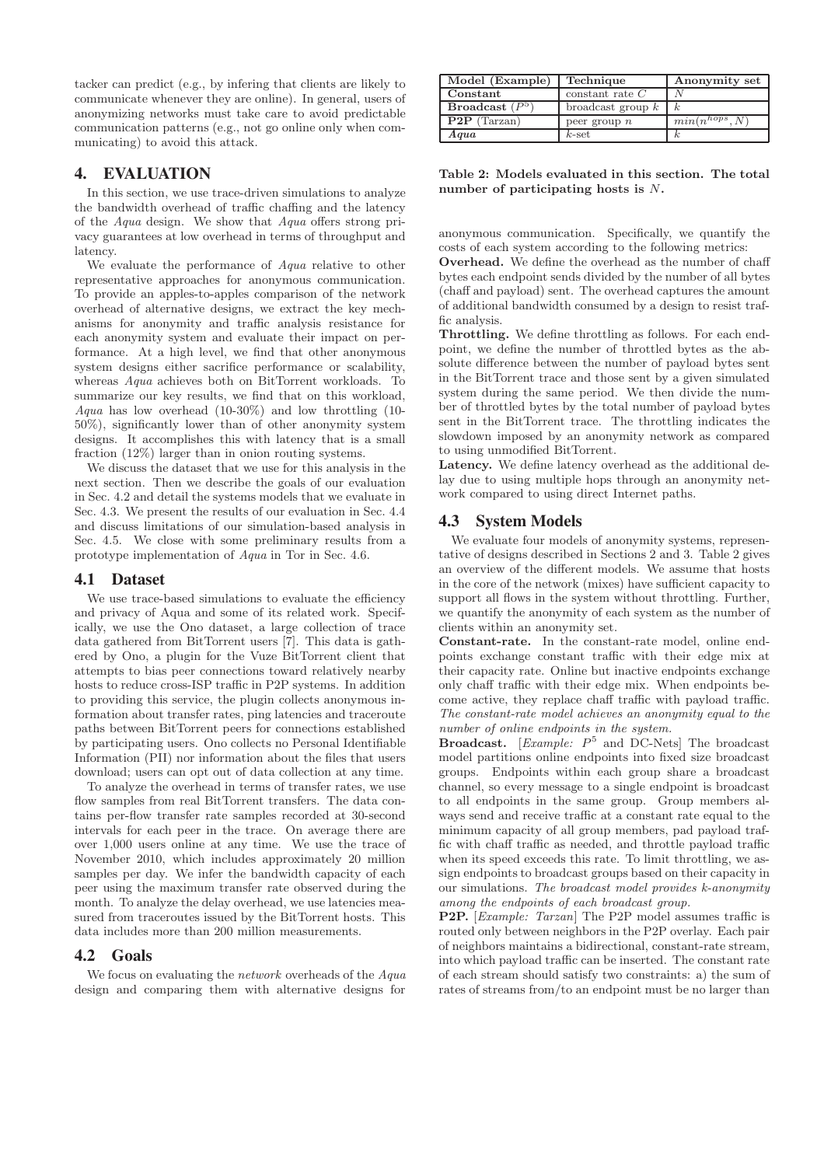tacker can predict (e.g., by infering that clients are likely to communicate whenever they are online). In general, users of anonymizing networks must take care to avoid predictable communication patterns (e.g., not go online only when communicating) to avoid this attack.

### 4. EVALUATION

In this section, we use trace-driven simulations to analyze the bandwidth overhead of traffic chaffing and the latency of the Aqua design. We show that Aqua offers strong privacy guarantees at low overhead in terms of throughput and latency.

We evaluate the performance of Aqua relative to other representative approaches for anonymous communication. To provide an apples-to-apples comparison of the network overhead of alternative designs, we extract the key mechanisms for anonymity and traffic analysis resistance for each anonymity system and evaluate their impact on performance. At a high level, we find that other anonymous system designs either sacrifice performance or scalability, whereas Aqua achieves both on BitTorrent workloads. To summarize our key results, we find that on this workload, Aqua has low overhead (10-30%) and low throttling (10- 50%), significantly lower than of other anonymity system designs. It accomplishes this with latency that is a small fraction (12%) larger than in onion routing systems.

We discuss the dataset that we use for this analysis in the next section. Then we describe the goals of our evaluation in Sec. 4.2 and detail the systems models that we evaluate in Sec. 4.3. We present the results of our evaluation in Sec. 4.4 and discuss limitations of our simulation-based analysis in Sec. 4.5. We close with some preliminary results from a prototype implementation of Aqua in Tor in Sec. 4.6.

#### 4.1 Dataset

We use trace-based simulations to evaluate the efficiency and privacy of Aqua and some of its related work. Specifically, we use the Ono dataset, a large collection of trace data gathered from BitTorrent users [7]. This data is gathered by Ono, a plugin for the Vuze BitTorrent client that attempts to bias peer connections toward relatively nearby hosts to reduce cross-ISP traffic in P2P systems. In addition to providing this service, the plugin collects anonymous information about transfer rates, ping latencies and traceroute paths between BitTorrent peers for connections established by participating users. Ono collects no Personal Identifiable Information (PII) nor information about the files that users download; users can opt out of data collection at any time.

To analyze the overhead in terms of transfer rates, we use flow samples from real BitTorrent transfers. The data contains per-flow transfer rate samples recorded at 30-second intervals for each peer in the trace. On average there are over 1,000 users online at any time. We use the trace of November 2010, which includes approximately 20 million samples per day. We infer the bandwidth capacity of each peer using the maximum transfer rate observed during the month. To analyze the delay overhead, we use latencies measured from traceroutes issued by the BitTorrent hosts. This data includes more than 200 million measurements.

#### 4.2 Goals

We focus on evaluating the *network* overheads of the Aqua design and comparing them with alternative designs for

| Model (Example)          | Technique           | Anonymity set     |
|--------------------------|---------------------|-------------------|
| Constant                 | constant rate $C$   |                   |
| <b>Broadcast</b> $(P^5)$ | broadcast group $k$ | k.                |
| $P2P$ (Tarzan)           | peer group $n$      | $min(n^{hops}.N)$ |
| Aqua                     | $k$ -set            |                   |

Table 2: Models evaluated in this section. The total number of participating hosts is N.

anonymous communication. Specifically, we quantify the costs of each system according to the following metrics:

Overhead. We define the overhead as the number of chaff bytes each endpoint sends divided by the number of all bytes (chaff and payload) sent. The overhead captures the amount of additional bandwidth consumed by a design to resist traffic analysis.

Throttling. We define throttling as follows. For each endpoint, we define the number of throttled bytes as the absolute difference between the number of payload bytes sent in the BitTorrent trace and those sent by a given simulated system during the same period. We then divide the number of throttled bytes by the total number of payload bytes sent in the BitTorrent trace. The throttling indicates the slowdown imposed by an anonymity network as compared to using unmodified BitTorrent.

Latency. We define latency overhead as the additional delay due to using multiple hops through an anonymity network compared to using direct Internet paths.

## 4.3 System Models

We evaluate four models of anonymity systems, representative of designs described in Sections 2 and 3. Table 2 gives an overview of the different models. We assume that hosts in the core of the network (mixes) have sufficient capacity to support all flows in the system without throttling. Further, we quantify the anonymity of each system as the number of clients within an anonymity set.

Constant-rate. In the constant-rate model, online endpoints exchange constant traffic with their edge mix at their capacity rate. Online but inactive endpoints exchange only chaff traffic with their edge mix. When endpoints become active, they replace chaff traffic with payload traffic. The constant-rate model achieves an anonymity equal to the number of online endpoints in the system.

**Broadcast.** [*Example:*  $P^5$  and DC-Nets] The broadcast model partitions online endpoints into fixed size broadcast groups. Endpoints within each group share a broadcast channel, so every message to a single endpoint is broadcast to all endpoints in the same group. Group members always send and receive traffic at a constant rate equal to the minimum capacity of all group members, pad payload traffic with chaff traffic as needed, and throttle payload traffic when its speed exceeds this rate. To limit throttling, we assign endpoints to broadcast groups based on their capacity in our simulations. The broadcast model provides k-anonymity among the endpoints of each broadcast group.

P2P. [Example: Tarzan] The P2P model assumes traffic is routed only between neighbors in the P2P overlay. Each pair of neighbors maintains a bidirectional, constant-rate stream, into which payload traffic can be inserted. The constant rate of each stream should satisfy two constraints: a) the sum of rates of streams from/to an endpoint must be no larger than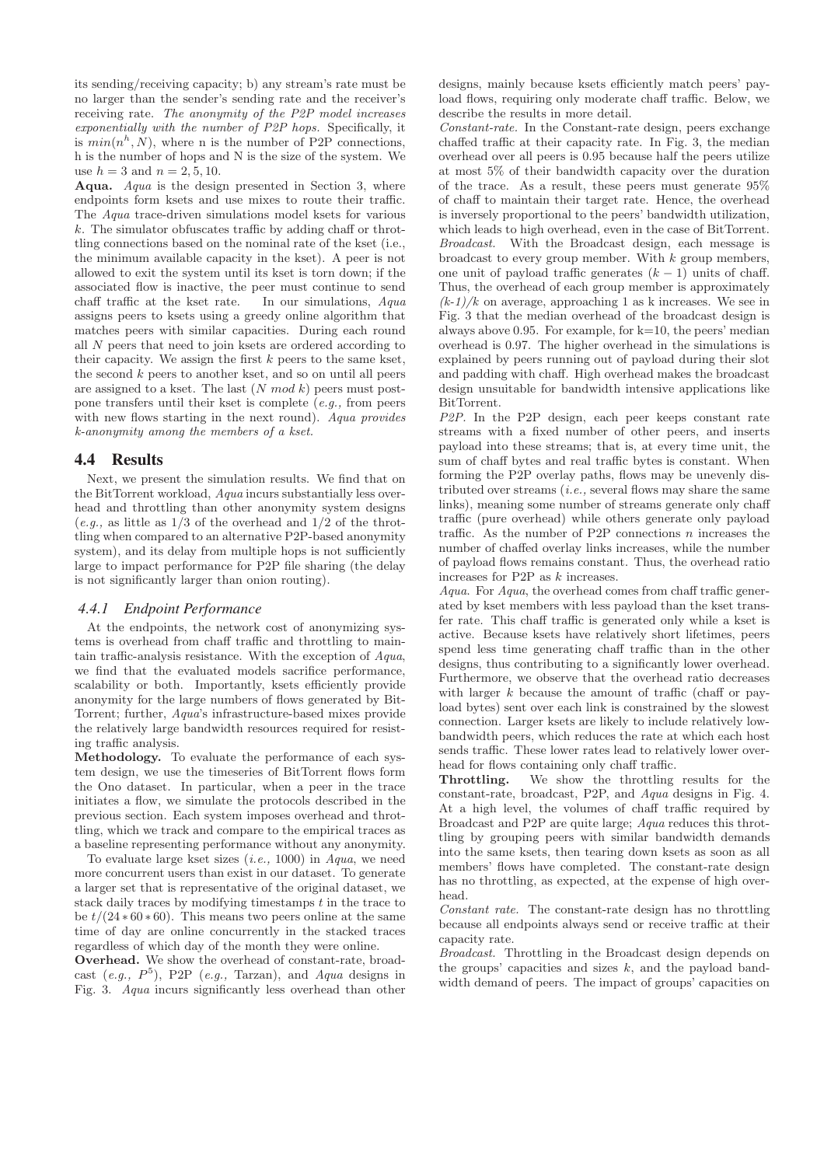its sending/receiving capacity; b) any stream's rate must be no larger than the sender's sending rate and the receiver's receiving rate. The anonymity of the P2P model increases exponentially with the number of P2P hops. Specifically, it is  $min(n^h, N)$ , where n is the number of P2P connections, h is the number of hops and N is the size of the system. We use  $h = 3$  and  $n = 2, 5, 10$ .

Aqua. Aqua is the design presented in Section 3, where endpoints form ksets and use mixes to route their traffic. The Aqua trace-driven simulations model ksets for various  $k$ . The simulator obfuscates traffic by adding chaff or throttling connections based on the nominal rate of the kset (i.e., the minimum available capacity in the kset). A peer is not allowed to exit the system until its kset is torn down; if the associated flow is inactive, the peer must continue to send chaff traffic at the kset rate. In our simulations, Aqua assigns peers to ksets using a greedy online algorithm that matches peers with similar capacities. During each round all N peers that need to join ksets are ordered according to their capacity. We assign the first  $k$  peers to the same kset, the second  $k$  peers to another kset, and so on until all peers are assigned to a kset. The last  $(N \mod k)$  peers must postpone transfers until their kset is complete (e.g., from peers with new flows starting in the next round). Aqua provides k-anonymity among the members of a kset.

#### 4.4 Results

Next, we present the simulation results. We find that on the BitTorrent workload, Aqua incurs substantially less overhead and throttling than other anonymity system designs  $(e.g.,$  as little as  $1/3$  of the overhead and  $1/2$  of the throttling when compared to an alternative P2P-based anonymity system), and its delay from multiple hops is not sufficiently large to impact performance for P2P file sharing (the delay is not significantly larger than onion routing).

#### *4.4.1 Endpoint Performance*

At the endpoints, the network cost of anonymizing systems is overhead from chaff traffic and throttling to maintain traffic-analysis resistance. With the exception of Aqua, we find that the evaluated models sacrifice performance, scalability or both. Importantly, ksets efficiently provide anonymity for the large numbers of flows generated by Bit-Torrent; further, Aqua's infrastructure-based mixes provide the relatively large bandwidth resources required for resisting traffic analysis.

Methodology. To evaluate the performance of each system design, we use the timeseries of BitTorrent flows form the Ono dataset. In particular, when a peer in the trace initiates a flow, we simulate the protocols described in the previous section. Each system imposes overhead and throttling, which we track and compare to the empirical traces as a baseline representing performance without any anonymity.

To evaluate large kset sizes  $(i.e., 1000)$  in Aqua, we need more concurrent users than exist in our dataset. To generate a larger set that is representative of the original dataset, we stack daily traces by modifying timestamps  $t$  in the trace to be  $t/(24 * 60 * 60)$ . This means two peers online at the same time of day are online concurrently in the stacked traces regardless of which day of the month they were online.

Overhead. We show the overhead of constant-rate, broadcast  $(e.g., P^5)$ , P2P  $(e.g., Tarzan)$ , and Aqua designs in Fig. 3. Aqua incurs significantly less overhead than other

designs, mainly because ksets efficiently match peers' payload flows, requiring only moderate chaff traffic. Below, we describe the results in more detail.

Constant-rate. In the Constant-rate design, peers exchange chaffed traffic at their capacity rate. In Fig. 3, the median overhead over all peers is 0.95 because half the peers utilize at most 5% of their bandwidth capacity over the duration of the trace. As a result, these peers must generate 95% of chaff to maintain their target rate. Hence, the overhead is inversely proportional to the peers' bandwidth utilization, which leads to high overhead, even in the case of BitTorrent. Broadcast. With the Broadcast design, each message is broadcast to every group member. With  $k$  group members, one unit of payload traffic generates  $(k - 1)$  units of chaff. Thus, the overhead of each group member is approximately  $(k-1)/k$  on average, approaching 1 as k increases. We see in Fig. 3 that the median overhead of the broadcast design is always above 0.95. For example, for  $k=10$ , the peers' median overhead is 0.97. The higher overhead in the simulations is explained by peers running out of payload during their slot and padding with chaff. High overhead makes the broadcast design unsuitable for bandwidth intensive applications like BitTorrent.

P2P. In the P2P design, each peer keeps constant rate streams with a fixed number of other peers, and inserts payload into these streams; that is, at every time unit, the sum of chaff bytes and real traffic bytes is constant. When forming the P2P overlay paths, flows may be unevenly distributed over streams  $(i.e., several flows may share the same)$ links), meaning some number of streams generate only chaff traffic (pure overhead) while others generate only payload traffic. As the number of P2P connections  $n$  increases the number of chaffed overlay links increases, while the number of payload flows remains constant. Thus, the overhead ratio increases for P2P as k increases.

Aqua. For Aqua, the overhead comes from chaff traffic generated by kset members with less payload than the kset transfer rate. This chaff traffic is generated only while a kset is active. Because ksets have relatively short lifetimes, peers spend less time generating chaff traffic than in the other designs, thus contributing to a significantly lower overhead. Furthermore, we observe that the overhead ratio decreases with larger  $k$  because the amount of traffic (chaff or payload bytes) sent over each link is constrained by the slowest connection. Larger ksets are likely to include relatively lowbandwidth peers, which reduces the rate at which each host sends traffic. These lower rates lead to relatively lower overhead for flows containing only chaff traffic.

Throttling. We show the throttling results for the constant-rate, broadcast, P2P, and Aqua designs in Fig. 4. At a high level, the volumes of chaff traffic required by Broadcast and P2P are quite large; Aqua reduces this throttling by grouping peers with similar bandwidth demands into the same ksets, then tearing down ksets as soon as all members' flows have completed. The constant-rate design has no throttling, as expected, at the expense of high overhead.

Constant rate. The constant-rate design has no throttling because all endpoints always send or receive traffic at their capacity rate.

Broadcast. Throttling in the Broadcast design depends on the groups' capacities and sizes  $k$ , and the payload bandwidth demand of peers. The impact of groups' capacities on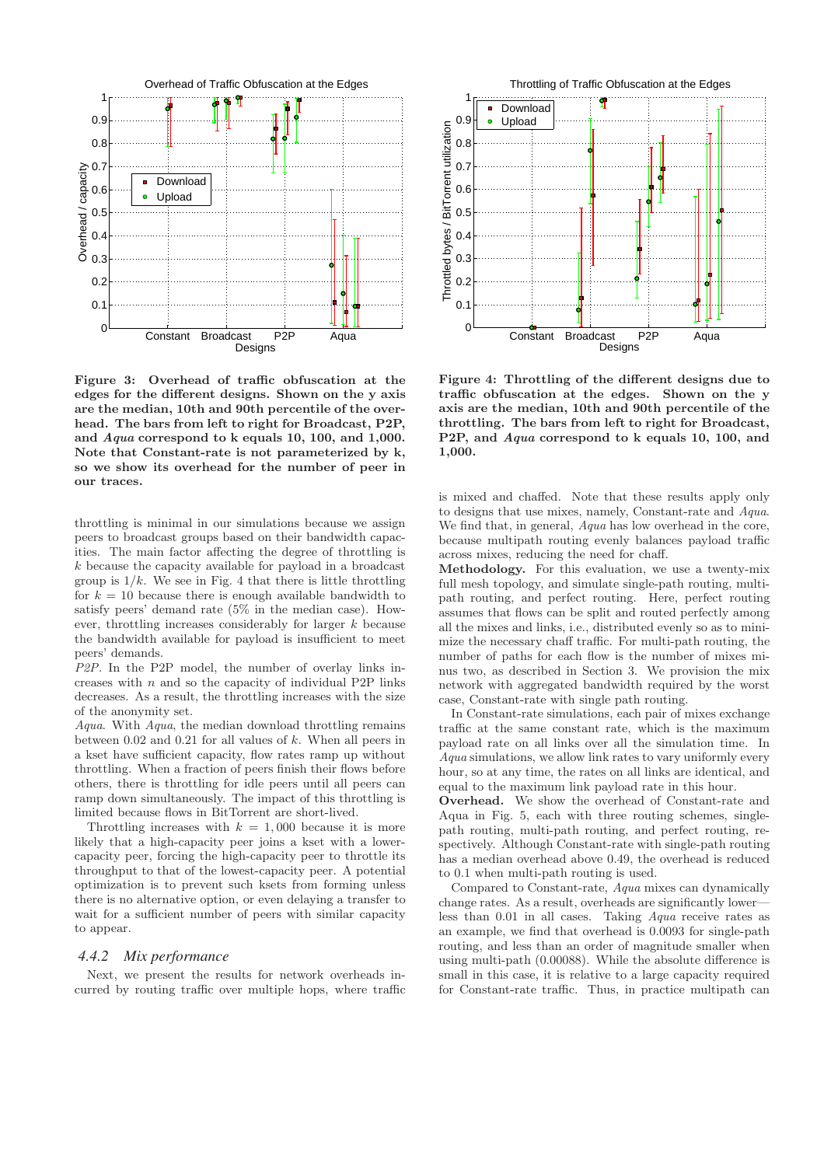

Figure 3: Overhead of traffic obfuscation at the edges for the different designs. Shown on the y axis are the median, 10th and 90th percentile of the overhead. The bars from left to right for Broadcast, P2P, and Aqua correspond to k equals 10, 100, and 1,000. Note that Constant-rate is not parameterized by k, so we show its overhead for the number of peer in our traces.

throttling is minimal in our simulations because we assign peers to broadcast groups based on their bandwidth capacities. The main factor affecting the degree of throttling is  $k$  because the capacity available for payload in a broadcast group is  $1/k$ . We see in Fig. 4 that there is little throttling for  $k = 10$  because there is enough available bandwidth to satisfy peers' demand rate (5% in the median case). However, throttling increases considerably for larger k because the bandwidth available for payload is insufficient to meet peers' demands.

P2P. In the P2P model, the number of overlay links increases with  $n$  and so the capacity of individual P2P links decreases. As a result, the throttling increases with the size of the anonymity set.

Aqua. With Aqua, the median download throttling remains between 0.02 and 0.21 for all values of k. When all peers in a kset have sufficient capacity, flow rates ramp up without throttling. When a fraction of peers finish their flows before others, there is throttling for idle peers until all peers can ramp down simultaneously. The impact of this throttling is limited because flows in BitTorrent are short-lived.

Throttling increases with  $k = 1,000$  because it is more likely that a high-capacity peer joins a kset with a lowercapacity peer, forcing the high-capacity peer to throttle its throughput to that of the lowest-capacity peer. A potential optimization is to prevent such ksets from forming unless there is no alternative option, or even delaying a transfer to wait for a sufficient number of peers with similar capacity to appear.

#### *4.4.2 Mix performance*

Next, we present the results for network overheads incurred by routing traffic over multiple hops, where traffic



Figure 4: Throttling of the different designs due to traffic obfuscation at the edges. Shown on the y axis are the median, 10th and 90th percentile of the throttling. The bars from left to right for Broadcast, P2P, and Aqua correspond to k equals 10, 100, and 1,000.

is mixed and chaffed. Note that these results apply only to designs that use mixes, namely, Constant-rate and Aqua. We find that, in general, Aqua has low overhead in the core, because multipath routing evenly balances payload traffic across mixes, reducing the need for chaff.

Methodology. For this evaluation, we use a twenty-mix full mesh topology, and simulate single-path routing, multipath routing, and perfect routing. Here, perfect routing assumes that flows can be split and routed perfectly among all the mixes and links, i.e., distributed evenly so as to minimize the necessary chaff traffic. For multi-path routing, the number of paths for each flow is the number of mixes minus two, as described in Section 3. We provision the mix network with aggregated bandwidth required by the worst case, Constant-rate with single path routing.

In Constant-rate simulations, each pair of mixes exchange traffic at the same constant rate, which is the maximum payload rate on all links over all the simulation time. In Aqua simulations, we allow link rates to vary uniformly every hour, so at any time, the rates on all links are identical, and equal to the maximum link payload rate in this hour.

Overhead. We show the overhead of Constant-rate and Aqua in Fig. 5, each with three routing schemes, singlepath routing, multi-path routing, and perfect routing, respectively. Although Constant-rate with single-path routing has a median overhead above 0.49, the overhead is reduced to 0.1 when multi-path routing is used.

Compared to Constant-rate, Aqua mixes can dynamically change rates. As a result, overheads are significantly lower less than 0.01 in all cases. Taking Aqua receive rates as an example, we find that overhead is 0.0093 for single-path routing, and less than an order of magnitude smaller when using multi-path (0.00088). While the absolute difference is small in this case, it is relative to a large capacity required for Constant-rate traffic. Thus, in practice multipath can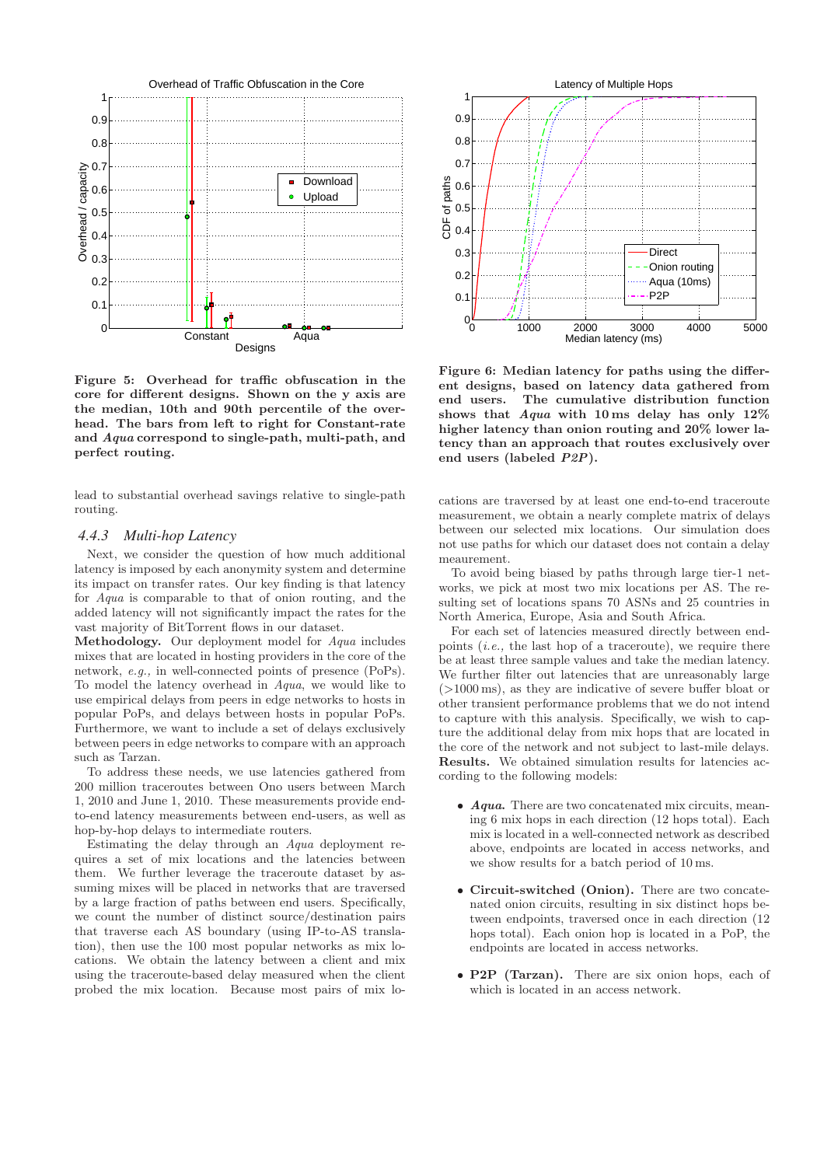

Figure 5: Overhead for traffic obfuscation in the core for different designs. Shown on the y axis are the median, 10th and 90th percentile of the overhead. The bars from left to right for Constant-rate and Aqua correspond to single-path, multi-path, and perfect routing.

lead to substantial overhead savings relative to single-path routing.

#### *4.4.3 Multi-hop Latency*

Next, we consider the question of how much additional latency is imposed by each anonymity system and determine its impact on transfer rates. Our key finding is that latency for Aqua is comparable to that of onion routing, and the added latency will not significantly impact the rates for the vast majority of BitTorrent flows in our dataset.

Methodology. Our deployment model for Aqua includes mixes that are located in hosting providers in the core of the network, e.g., in well-connected points of presence (PoPs). To model the latency overhead in Aqua, we would like to use empirical delays from peers in edge networks to hosts in popular PoPs, and delays between hosts in popular PoPs. Furthermore, we want to include a set of delays exclusively between peers in edge networks to compare with an approach such as Tarzan.

To address these needs, we use latencies gathered from 200 million traceroutes between Ono users between March 1, 2010 and June 1, 2010. These measurements provide endto-end latency measurements between end-users, as well as hop-by-hop delays to intermediate routers.

Estimating the delay through an Aqua deployment requires a set of mix locations and the latencies between them. We further leverage the traceroute dataset by assuming mixes will be placed in networks that are traversed by a large fraction of paths between end users. Specifically, we count the number of distinct source/destination pairs that traverse each AS boundary (using IP-to-AS translation), then use the 100 most popular networks as mix locations. We obtain the latency between a client and mix using the traceroute-based delay measured when the client probed the mix location. Because most pairs of mix lo-



Figure 6: Median latency for paths using the different designs, based on latency data gathered from end users. The cumulative distribution function shows that  $Aqua$  with 10 ms delay has only 12% higher latency than onion routing and 20% lower latency than an approach that routes exclusively over end users (labeled P2P).

cations are traversed by at least one end-to-end traceroute measurement, we obtain a nearly complete matrix of delays between our selected mix locations. Our simulation does not use paths for which our dataset does not contain a delay meaurement.

To avoid being biased by paths through large tier-1 networks, we pick at most two mix locations per AS. The resulting set of locations spans 70 ASNs and 25 countries in North America, Europe, Asia and South Africa.

For each set of latencies measured directly between endpoints  $(i.e., the last hop of a traceroute)$ , we require there be at least three sample values and take the median latency. We further filter out latencies that are unreasonably large (>1000 ms), as they are indicative of severe buffer bloat or other transient performance problems that we do not intend to capture with this analysis. Specifically, we wish to capture the additional delay from mix hops that are located in the core of the network and not subject to last-mile delays. Results. We obtained simulation results for latencies according to the following models:

- **Agua.** There are two concatenated mix circuits, meaning 6 mix hops in each direction (12 hops total). Each mix is located in a well-connected network as described above, endpoints are located in access networks, and we show results for a batch period of 10 ms.
- Circuit-switched (Onion). There are two concatenated onion circuits, resulting in six distinct hops between endpoints, traversed once in each direction (12 hops total). Each onion hop is located in a PoP, the endpoints are located in access networks.
- P2P (Tarzan). There are six onion hops, each of which is located in an access network.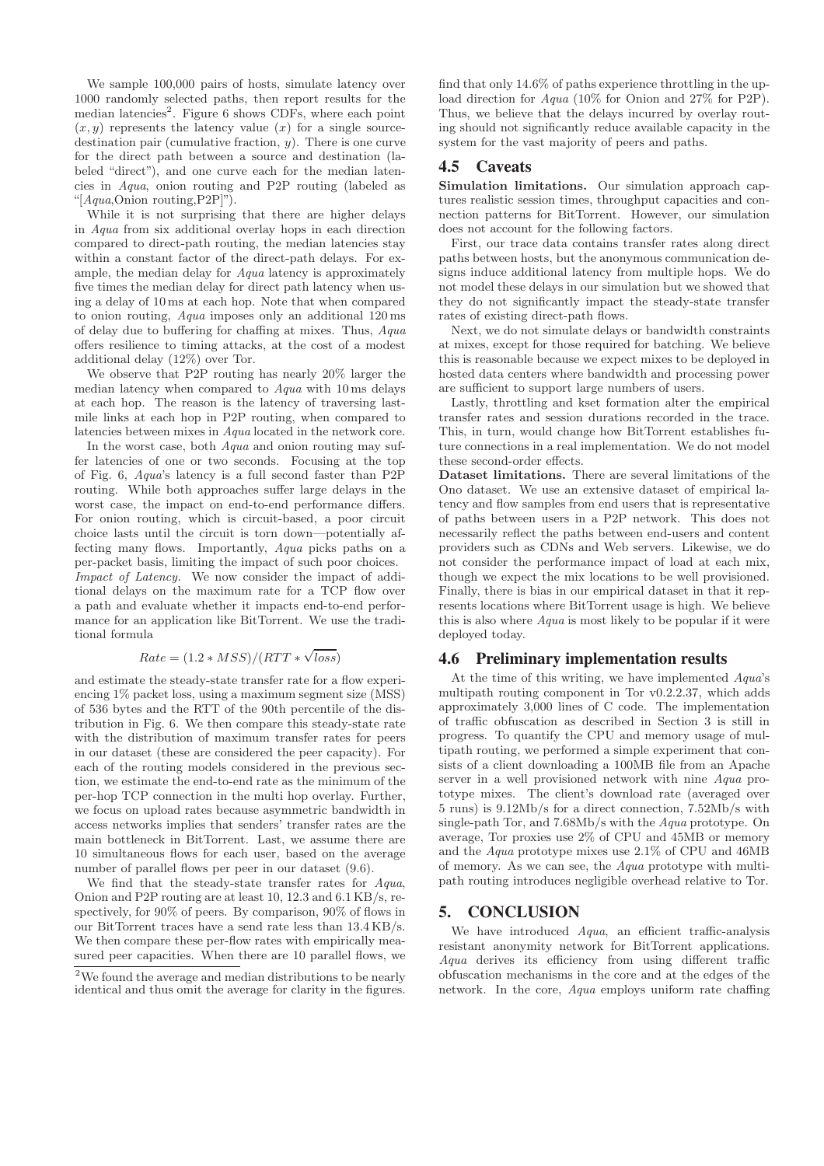We sample 100,000 pairs of hosts, simulate latency over 1000 randomly selected paths, then report results for the median latencies<sup>2</sup>. Figure 6 shows CDFs, where each point  $(x, y)$  represents the latency value  $(x)$  for a single sourcedestination pair (cumulative fraction,  $y$ ). There is one curve for the direct path between a source and destination (labeled "direct"), and one curve each for the median latencies in Aqua, onion routing and P2P routing (labeled as "[Aqua,Onion routing,P2P]").

While it is not surprising that there are higher delays in Aqua from six additional overlay hops in each direction compared to direct-path routing, the median latencies stay within a constant factor of the direct-path delays. For example, the median delay for Aqua latency is approximately five times the median delay for direct path latency when using a delay of 10 ms at each hop. Note that when compared to onion routing, Aqua imposes only an additional 120 ms of delay due to buffering for chaffing at mixes. Thus, Aqua offers resilience to timing attacks, at the cost of a modest additional delay (12%) over Tor.

We observe that P2P routing has nearly 20% larger the median latency when compared to Aqua with 10 ms delays at each hop. The reason is the latency of traversing lastmile links at each hop in P2P routing, when compared to latencies between mixes in Aqua located in the network core.

In the worst case, both Aqua and onion routing may suffer latencies of one or two seconds. Focusing at the top of Fig. 6, Aqua's latency is a full second faster than P2P routing. While both approaches suffer large delays in the worst case, the impact on end-to-end performance differs. For onion routing, which is circuit-based, a poor circuit choice lasts until the circuit is torn down—potentially affecting many flows. Importantly, Aqua picks paths on a per-packet basis, limiting the impact of such poor choices. Impact of Latency. We now consider the impact of additional delays on the maximum rate for a TCP flow over a path and evaluate whether it impacts end-to-end performance for an application like BitTorrent. We use the traditional formula

$$
Rate = (1.2 * MSS)/(RTT * \sqrt{loss})
$$

and estimate the steady-state transfer rate for a flow experiencing 1% packet loss, using a maximum segment size (MSS) of 536 bytes and the RTT of the 90th percentile of the distribution in Fig. 6. We then compare this steady-state rate with the distribution of maximum transfer rates for peers in our dataset (these are considered the peer capacity). For each of the routing models considered in the previous section, we estimate the end-to-end rate as the minimum of the per-hop TCP connection in the multi hop overlay. Further, we focus on upload rates because asymmetric bandwidth in access networks implies that senders' transfer rates are the main bottleneck in BitTorrent. Last, we assume there are 10 simultaneous flows for each user, based on the average number of parallel flows per peer in our dataset (9.6).

We find that the steady-state transfer rates for Aqua, Onion and P2P routing are at least 10, 12.3 and 6.1 KB/s, respectively, for 90% of peers. By comparison, 90% of flows in our BitTorrent traces have a send rate less than 13.4 KB/s. We then compare these per-flow rates with empirically measured peer capacities. When there are 10 parallel flows, we

find that only 14.6% of paths experience throttling in the upload direction for Aqua (10% for Onion and 27% for P2P). Thus, we believe that the delays incurred by overlay routing should not significantly reduce available capacity in the system for the vast majority of peers and paths.

#### 4.5 Caveats

Simulation limitations. Our simulation approach captures realistic session times, throughput capacities and connection patterns for BitTorrent. However, our simulation does not account for the following factors.

First, our trace data contains transfer rates along direct paths between hosts, but the anonymous communication designs induce additional latency from multiple hops. We do not model these delays in our simulation but we showed that they do not significantly impact the steady-state transfer rates of existing direct-path flows.

Next, we do not simulate delays or bandwidth constraints at mixes, except for those required for batching. We believe this is reasonable because we expect mixes to be deployed in hosted data centers where bandwidth and processing power are sufficient to support large numbers of users.

Lastly, throttling and kset formation alter the empirical transfer rates and session durations recorded in the trace. This, in turn, would change how BitTorrent establishes future connections in a real implementation. We do not model these second-order effects.

Dataset limitations. There are several limitations of the Ono dataset. We use an extensive dataset of empirical latency and flow samples from end users that is representative of paths between users in a P2P network. This does not necessarily reflect the paths between end-users and content providers such as CDNs and Web servers. Likewise, we do not consider the performance impact of load at each mix, though we expect the mix locations to be well provisioned. Finally, there is bias in our empirical dataset in that it represents locations where BitTorrent usage is high. We believe this is also where Aqua is most likely to be popular if it were deployed today.

#### 4.6 Preliminary implementation results

At the time of this writing, we have implemented  $Aquad$ 's multipath routing component in Tor v0.2.2.37, which adds approximately 3,000 lines of C code. The implementation of traffic obfuscation as described in Section 3 is still in progress. To quantify the CPU and memory usage of multipath routing, we performed a simple experiment that consists of a client downloading a 100MB file from an Apache server in a well provisioned network with nine Aqua prototype mixes. The client's download rate (averaged over 5 runs) is 9.12Mb/s for a direct connection, 7.52Mb/s with single-path Tor, and 7.68Mb/s with the Aqua prototype. On average, Tor proxies use 2% of CPU and 45MB or memory and the Aqua prototype mixes use 2.1% of CPU and 46MB of memory. As we can see, the  $Aqua$  prototype with multipath routing introduces negligible overhead relative to Tor.

### 5. CONCLUSION

We have introduced Aqua, an efficient traffic-analysis resistant anonymity network for BitTorrent applications. Aqua derives its efficiency from using different traffic obfuscation mechanisms in the core and at the edges of the network. In the core, Aqua employs uniform rate chaffing

<sup>2</sup>We found the average and median distributions to be nearly identical and thus omit the average for clarity in the figures.